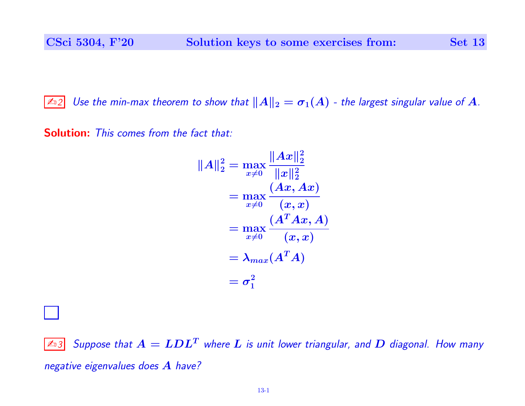$\mathbb{Z}_2$  Use the min-max theorem to show that  $||A||_2 = \sigma_1(A)$  - the largest singular value of  $A$ .

Solution: This comes from the fact that:

$$
||A||_2^2 = \max_{x\neq 0} \frac{||Ax||_2^2}{||x||_2^2}
$$
  
= 
$$
\max_{x\neq 0} \frac{(Ax, Ax)}{(x, x)}
$$
  
= 
$$
\max_{x\neq 0} \frac{(A^T Ax, A)}{(x, x)}
$$
  
= 
$$
\lambda_{max}(A^T A)
$$
  
= 
$$
\sigma_1^2
$$

 $\boxed{\mathbb{Z}_3}$  Suppose that  $A = LDL^T$  where  $L$  is unit lower triangular, and  $D$  diagonal. How many negative eigenvalues does A have?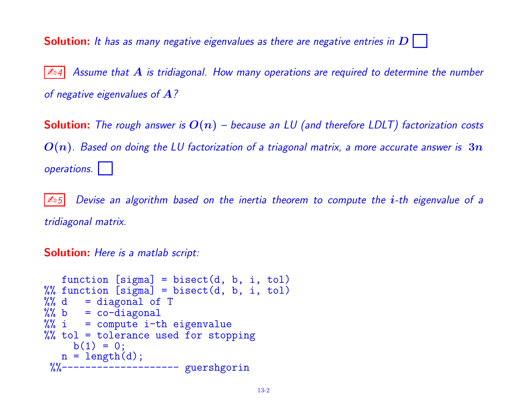**Solution:** It has as many negative eigenvalues as there are negative entries in  $D$ 

 $|\mathbb{A}_4|$  Assume that  $A$  is tridiagonal. How many operations are required to determine the number of negative eigenvalues of  $A$ ?

**Solution:** The rough answer is  $O(n)$  – because an LU (and therefore LDLT) factorization costs  $O(n)$ . Based on doing the LU factorization of a triagonal matrix, a more accurate answer is  $3n$ operations.

 $|\mathcal{L}_0 5|$  Devise an algorithm based on the inertia theorem to compute the *i*-th eigenvalue of a tridiagonal matrix.

Solution: Here is a matlab script:

```
function [sigma] = bisect(d, b, i, tol)%% function [sigma] = bisect(d, b, i, tol)
%% d = diagonal of T
%% b = co-diagonal%% i = compute i-th eigenvalue
%% tol = tolerance used for stopping
    b(1) = 0;n = length(d);%%------------------------ guershgorin
```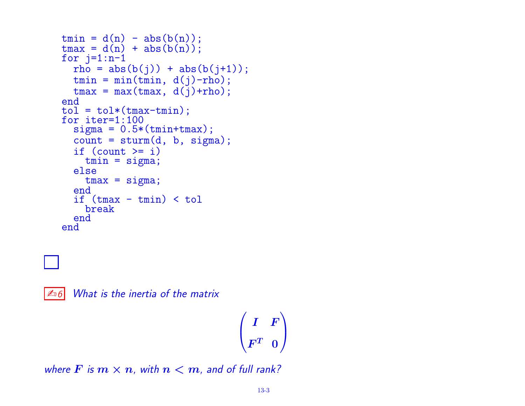```
tmin = d(n) - abs(b(n));\tan x = d(n) + abs(b(n));for i=1:n-1rho = abs(b(j)) + abs(b(j+1));tmin = min(tmin, d(j)-rho);
  tmax = max(tmax, d(j)+rho);
end
tol = tol * (tmax-tmin);for iter=1:100
  signa = 0.5*(tmin+tmax);count = sturm(d, b, sigma);if \text{(count} \geq i)tmin = sigma;
  else
    tmax = sigma;
  end
  if (tmax - tmin) < tolbreak
  end
end
```
 $\mathbb{Z}$  6 What is the inertia of the matrix

$$
\begin{pmatrix} I & F \\ F^T & 0 \end{pmatrix}
$$

where F is  $m \times n$ , with  $n < m$ , and of full rank?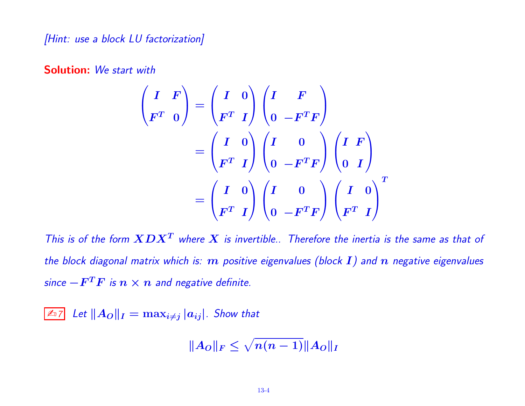[Hint: use a block LU factorization]

Solution: We start with

$$
\begin{pmatrix}\nI & F \\
F^T & 0\n\end{pmatrix} =\n\begin{pmatrix}\nI & 0 \\
F^T & I\n\end{pmatrix}\n\begin{pmatrix}\nI & F \\
0 & -F^T F\n\end{pmatrix}
$$
\n
$$
= \begin{pmatrix}\nI & 0 \\
F^T & I\n\end{pmatrix}\n\begin{pmatrix}\nI & 0 \\
0 & -F^T F\n\end{pmatrix}\n\begin{pmatrix}\nI & F \\
0 & I\n\end{pmatrix}
$$
\n
$$
= \begin{pmatrix}\nI & 0 \\
F^T & I\n\end{pmatrix}\n\begin{pmatrix}\nI & 0 \\
0 & -F^T F\n\end{pmatrix}\n\begin{pmatrix}\nI & 0 \\
F^T & I\n\end{pmatrix}^T
$$

This is of the form  $\boldsymbol{X}\boldsymbol{D}\boldsymbol{X}^T$  where  $\boldsymbol{X}$  is invertible.. Therefore the inertia is the same as that of the block diagonal matrix which is:  $m$  positive eigenvalues (block  $I$ ) and  $n$  negative eigenvalues since  $-F^T F$  is  $n\times n$  and negative definite.

 $\boxed{\mathbb{Z}_7}$  Let  $\Vert A_O \Vert_I = \max_{i \neq j} |a_{ij}|$ . Show that

$$
||A_O||_F \leq \sqrt{n(n-1)}||A_O||_I
$$